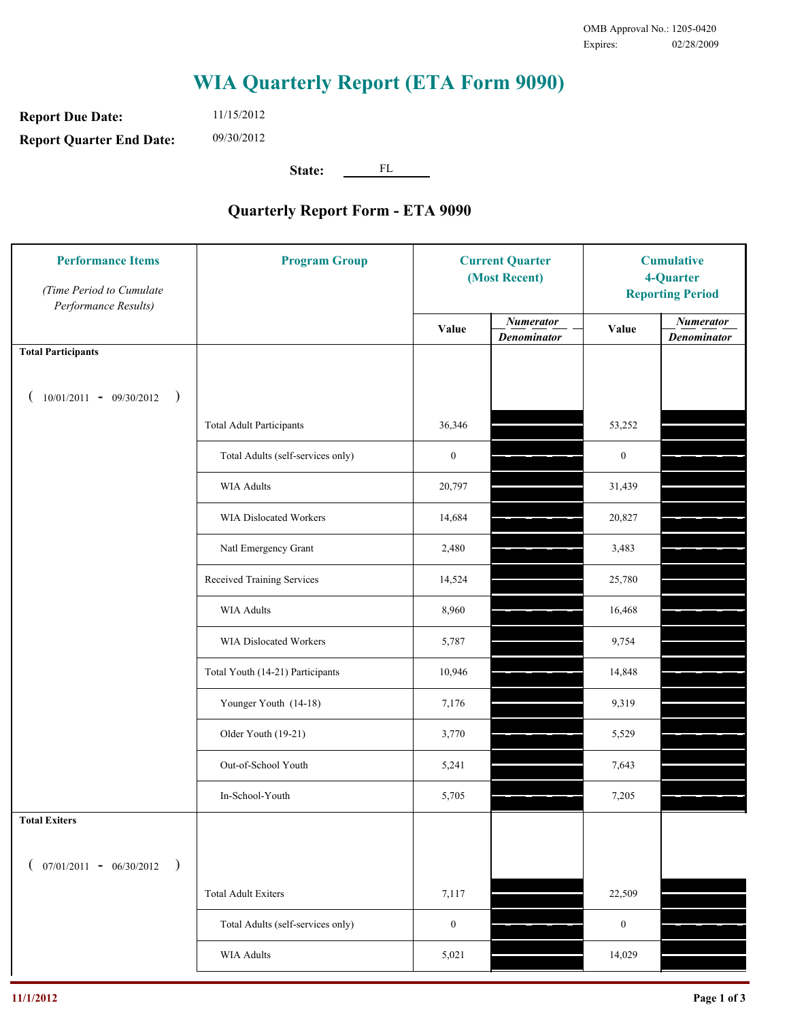## **WIA Quarterly Report (ETA Form 9090)**

**Report Due Date: Report Quarter End Date:** 11/15/2012 09/30/2012

**State:** FL

## **Quarterly Report Form - ETA 9090**

| <b>Performance Items</b><br>(Time Period to Cumulate<br>Performance Results) | <b>Program Group</b>              | <b>Current Quarter</b><br>(Most Recent) |                                        | <b>Cumulative</b><br>4-Quarter<br><b>Reporting Period</b> |                                        |
|------------------------------------------------------------------------------|-----------------------------------|-----------------------------------------|----------------------------------------|-----------------------------------------------------------|----------------------------------------|
|                                                                              |                                   | Value                                   | <b>Numerator</b><br><b>Denominator</b> | Value                                                     | <b>Numerator</b><br><b>Denominator</b> |
| <b>Total Participants</b>                                                    |                                   |                                         |                                        |                                                           |                                        |
| $10/01/2011 - 09/30/2012$ )                                                  |                                   |                                         |                                        |                                                           |                                        |
|                                                                              | <b>Total Adult Participants</b>   | 36,346                                  |                                        | 53,252                                                    |                                        |
|                                                                              | Total Adults (self-services only) | $\boldsymbol{0}$                        |                                        | $\boldsymbol{0}$                                          |                                        |
|                                                                              | <b>WIA Adults</b>                 | 20,797                                  |                                        | 31,439                                                    |                                        |
|                                                                              | WIA Dislocated Workers            | 14,684                                  |                                        | 20,827                                                    |                                        |
|                                                                              | Natl Emergency Grant              | 2,480                                   |                                        | 3,483                                                     |                                        |
|                                                                              | Received Training Services        | 14,524                                  |                                        | 25,780                                                    |                                        |
|                                                                              | <b>WIA Adults</b>                 | 8,960                                   |                                        | 16,468                                                    |                                        |
|                                                                              | WIA Dislocated Workers            | 5,787                                   |                                        | 9,754                                                     |                                        |
|                                                                              | Total Youth (14-21) Participants  | 10,946                                  |                                        | 14,848                                                    |                                        |
|                                                                              | Younger Youth (14-18)             | 7,176                                   |                                        | 9,319                                                     |                                        |
|                                                                              | Older Youth (19-21)               | 3,770                                   |                                        | 5,529                                                     |                                        |
|                                                                              | Out-of-School Youth               | 5,241                                   |                                        | 7,643                                                     |                                        |
|                                                                              | In-School-Youth                   | 5,705                                   |                                        | 7,205                                                     |                                        |
| <b>Total Exiters</b>                                                         |                                   |                                         |                                        |                                                           |                                        |
| $($ 07/01/2011 - 06/30/2012<br>$\rightarrow$                                 |                                   |                                         |                                        |                                                           |                                        |
|                                                                              | <b>Total Adult Exiters</b>        | 7,117                                   |                                        | 22,509                                                    |                                        |
|                                                                              | Total Adults (self-services only) | $\boldsymbol{0}$                        |                                        | $\boldsymbol{0}$                                          |                                        |
|                                                                              | WIA Adults                        | 5,021                                   |                                        | 14,029                                                    |                                        |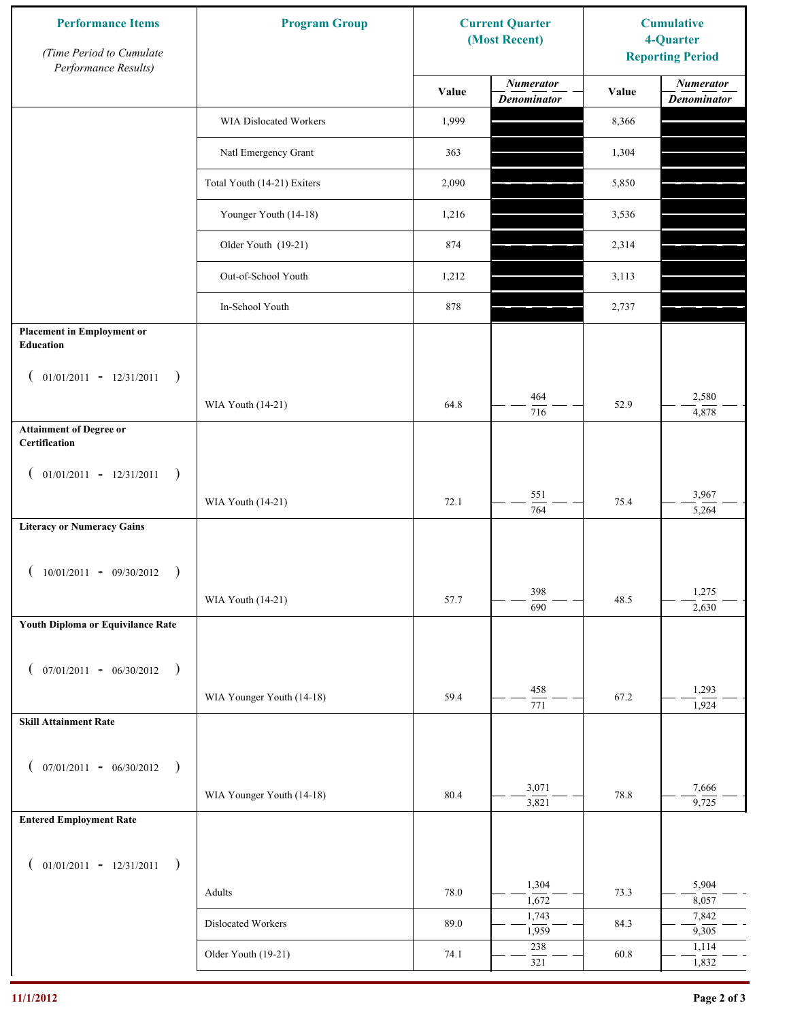| <b>Performance Items</b><br>(Time Period to Cumulate<br>Performance Results) | <b>Program Group</b>          | <b>Current Quarter</b><br>(Most Recent) |                                        | <b>Cumulative</b><br>4-Quarter<br><b>Reporting Period</b> |                                        |
|------------------------------------------------------------------------------|-------------------------------|-----------------------------------------|----------------------------------------|-----------------------------------------------------------|----------------------------------------|
|                                                                              |                               | Value                                   | <b>Numerator</b><br><b>Denominator</b> | Value                                                     | <b>Numerator</b><br><b>Denominator</b> |
|                                                                              | <b>WIA Dislocated Workers</b> | 1,999                                   |                                        | 8,366                                                     |                                        |
|                                                                              | Natl Emergency Grant          | 363                                     |                                        | 1,304                                                     |                                        |
|                                                                              | Total Youth (14-21) Exiters   | 2,090                                   |                                        | 5,850                                                     |                                        |
|                                                                              | Younger Youth (14-18)         | 1,216                                   |                                        | 3,536                                                     |                                        |
|                                                                              | Older Youth (19-21)           | 874                                     |                                        | 2,314                                                     |                                        |
|                                                                              | Out-of-School Youth           | 1,212                                   |                                        | 3,113                                                     |                                        |
|                                                                              | In-School Youth               | 878                                     |                                        | 2,737                                                     |                                        |
| <b>Placement in Employment or</b><br>Education                               |                               |                                         |                                        |                                                           |                                        |
| $01/01/2011 - 12/31/2011$<br>$\big)$<br>$\overline{ }$                       |                               |                                         |                                        |                                                           |                                        |
|                                                                              | WIA Youth (14-21)             | 64.8                                    | 464<br>716                             | 52.9                                                      | 2,580<br>4,878                         |
| <b>Attainment of Degree or</b><br>Certification                              |                               |                                         |                                        |                                                           |                                        |
| $($ 01/01/2011 - 12/31/2011<br>$\rightarrow$                                 |                               |                                         |                                        |                                                           |                                        |
|                                                                              | WIA Youth (14-21)             | 72.1                                    | 551<br>$\overline{764}$                | 75.4                                                      | 3,967<br>5,264                         |
| <b>Literacy or Numeracy Gains</b>                                            |                               |                                         |                                        |                                                           |                                        |
| $10/01/2011 - 09/30/2012$<br>$\rightarrow$                                   |                               |                                         |                                        |                                                           |                                        |
|                                                                              | WIA Youth (14-21)             | 57.7                                    | 398<br>$\overline{690}$                | 48.5                                                      | 1,275<br>2,630                         |
| Youth Diploma or Equivilance Rate                                            |                               |                                         |                                        |                                                           |                                        |
| $07/01/2011 - 06/30/2012$<br>$\rightarrow$                                   |                               |                                         |                                        |                                                           |                                        |
|                                                                              | WIA Younger Youth (14-18)     | 59.4                                    | 458<br>$\overline{771}$                | 67.2                                                      | 1,293                                  |
| <b>Skill Attainment Rate</b>                                                 |                               |                                         |                                        |                                                           | $\frac{1}{924}$                        |
| $07/01/2011 - 06/30/2012$ )                                                  |                               |                                         |                                        |                                                           |                                        |
|                                                                              | WIA Younger Youth (14-18)     | 80.4                                    | 3,071                                  | 78.8                                                      | 7,666                                  |
| <b>Entered Employment Rate</b>                                               |                               |                                         | 3,821                                  |                                                           | 9,725                                  |
|                                                                              |                               |                                         |                                        |                                                           |                                        |
| $($ 01/01/2011 - 12/31/2011<br>$\rightarrow$                                 |                               |                                         | 1,304                                  |                                                           | 5,904                                  |
|                                                                              | Adults                        | 78.0                                    | 1,672<br>1,743                         | 73.3                                                      | 8,057<br>7,842                         |
|                                                                              | Dislocated Workers            | 89.0                                    | 1,959                                  | 84.3                                                      | 9,305                                  |
|                                                                              | Older Youth (19-21)           | 74.1                                    | 238<br>321                             | 60.8                                                      | 1,114<br>1,832                         |